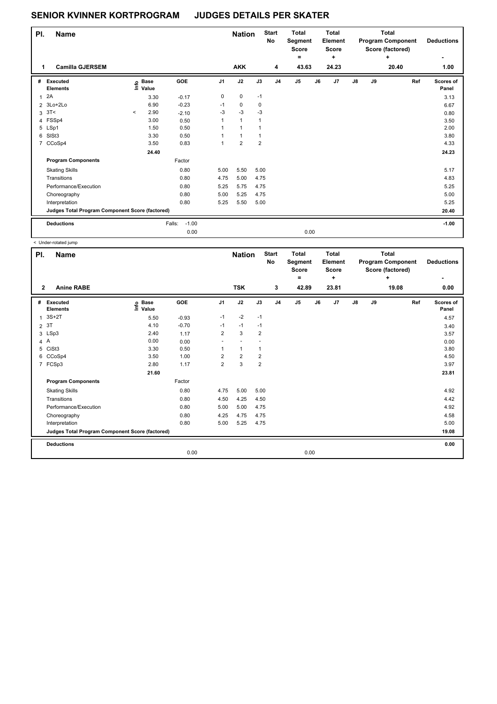## **SENIOR KVINNER KORTPROGRAM JUDGES DETAILS PER SKATER**

| PI.            | <b>Name</b>                                     |         |                      |                   |      | <b>Nation</b>  |                | <b>Start</b><br>No | <b>Total</b><br>Segment<br><b>Score</b><br>۰ |      | <b>Total</b><br>Element<br><b>Score</b><br>÷ |    |    | <b>Total</b><br><b>Program Component</b><br>Score (factored)<br>÷ | <b>Deductions</b>         |
|----------------|-------------------------------------------------|---------|----------------------|-------------------|------|----------------|----------------|--------------------|----------------------------------------------|------|----------------------------------------------|----|----|-------------------------------------------------------------------|---------------------------|
|                | <b>Camilla GJERSEM</b>                          |         |                      |                   |      | <b>AKK</b>     |                | 4                  | 43.63                                        |      | 24.23                                        |    |    | 20.40                                                             | 1.00                      |
| #              | Executed<br><b>Elements</b>                     | ١m      | <b>Base</b><br>Value | GOE               | J1   | J2             | J3             | J <sub>4</sub>     | J <sub>5</sub>                               | J6   | J <sub>7</sub>                               | J8 | J9 | Ref                                                               | <b>Scores of</b><br>Panel |
| 1              | 2A                                              |         | 3.30                 | $-0.17$           | 0    | 0              | $-1$           |                    |                                              |      |                                              |    |    |                                                                   | 3.13                      |
|                | 2 3Lo+2Lo                                       |         | 6.90                 | $-0.23$           | $-1$ | $\mathbf 0$    | 0              |                    |                                              |      |                                              |    |    |                                                                   | 6.67                      |
| 3              | 3T<                                             | $\prec$ | 2.90                 | $-2.10$           | $-3$ | $-3$           | $-3$           |                    |                                              |      |                                              |    |    |                                                                   | 0.80                      |
|                | 4 FSSp4                                         |         | 3.00                 | 0.50              | 1    | $\mathbf{1}$   | 1              |                    |                                              |      |                                              |    |    |                                                                   | 3.50                      |
|                | 5 LSp1                                          |         | 1.50                 | 0.50              |      | $\mathbf{1}$   | 1              |                    |                                              |      |                                              |    |    |                                                                   | 2.00                      |
| 6              | SISt3                                           |         | 3.30                 | 0.50              |      | 1              | 1              |                    |                                              |      |                                              |    |    |                                                                   | 3.80                      |
| $\overline{7}$ | CCoSp4                                          |         | 3.50                 | 0.83              | 1    | $\overline{2}$ | $\overline{2}$ |                    |                                              |      |                                              |    |    |                                                                   | 4.33                      |
|                |                                                 |         | 24.40                |                   |      |                |                |                    |                                              |      |                                              |    |    |                                                                   | 24.23                     |
|                | <b>Program Components</b>                       |         |                      | Factor            |      |                |                |                    |                                              |      |                                              |    |    |                                                                   |                           |
|                | <b>Skating Skills</b>                           |         |                      | 0.80              | 5.00 | 5.50           | 5.00           |                    |                                              |      |                                              |    |    |                                                                   | 5.17                      |
|                | Transitions                                     |         |                      | 0.80              | 4.75 | 5.00           | 4.75           |                    |                                              |      |                                              |    |    |                                                                   | 4.83                      |
|                | Performance/Execution                           |         |                      | 0.80              | 5.25 | 5.75           | 4.75           |                    |                                              |      |                                              |    |    |                                                                   | 5.25                      |
|                | Choreography                                    |         |                      | 0.80              | 5.00 | 5.25           | 4.75           |                    |                                              |      |                                              |    |    |                                                                   | 5.00                      |
|                | Interpretation                                  |         |                      | 0.80              | 5.25 | 5.50           | 5.00           |                    |                                              |      |                                              |    |    |                                                                   | 5.25                      |
|                | Judges Total Program Component Score (factored) |         |                      |                   |      |                |                |                    |                                              |      |                                              |    |    |                                                                   | 20.40                     |
|                | <b>Deductions</b>                               |         |                      | $-1.00$<br>Falls: |      |                |                |                    |                                              |      |                                              |    |    |                                                                   | $-1.00$                   |
|                |                                                 |         |                      | 0.00              |      |                |                |                    |                                              | 0.00 |                                              |    |    |                                                                   |                           |

< Under-rotated jump

| PI.            | <b>Name</b>                                     |                            |            | <b>Nation</b>  |                | <b>Start</b><br>No | <b>Total</b><br>Segment<br><b>Score</b><br>= |                | <b>Total</b><br>Element<br><b>Score</b><br>÷ |       | <b>Total</b><br><b>Program Component</b><br>Score (factored)<br>٠ |    | <b>Deductions</b><br>٠ |                    |
|----------------|-------------------------------------------------|----------------------------|------------|----------------|----------------|--------------------|----------------------------------------------|----------------|----------------------------------------------|-------|-------------------------------------------------------------------|----|------------------------|--------------------|
| $\overline{2}$ | <b>Anine RABE</b>                               |                            |            |                | <b>TSK</b>     |                    | 3                                            | 42.89          |                                              | 23.81 |                                                                   |    | 19.08                  | 0.00               |
| #              | Executed<br><b>Elements</b>                     | e Base<br>E Value<br>Value | <b>GOE</b> | J <sub>1</sub> | J2             | J3                 | J <sub>4</sub>                               | J <sub>5</sub> | J6                                           | J7    | $\mathsf{J}8$                                                     | J9 | Ref                    | Scores of<br>Panel |
| 1              | $3S+2T$                                         | 5.50                       | $-0.93$    | $-1$           | $-2$           | $-1$               |                                              |                |                                              |       |                                                                   |    |                        | 4.57               |
| $\overline{2}$ | 3T                                              | 4.10                       | $-0.70$    | $-1$           | $-1$           | $-1$               |                                              |                |                                              |       |                                                                   |    |                        | 3.40               |
|                | 3 LSp3                                          | 2.40                       | 1.17       | $\overline{2}$ | 3              | $\overline{2}$     |                                              |                |                                              |       |                                                                   |    |                        | 3.57               |
|                | 4A                                              | 0.00                       | 0.00       | ٠              |                |                    |                                              |                |                                              |       |                                                                   |    |                        | 0.00               |
| 5              | CiSt <sub>3</sub>                               | 3.30                       | 0.50       | 1              | $\mathbf{1}$   | $\mathbf{1}$       |                                              |                |                                              |       |                                                                   |    |                        | 3.80               |
| 6              | CCoSp4                                          | 3.50                       | 1.00       | $\overline{2}$ | $\overline{2}$ | 2                  |                                              |                |                                              |       |                                                                   |    |                        | 4.50               |
|                | 7 FCSp3                                         | 2.80                       | 1.17       | $\overline{2}$ | 3              | $\overline{2}$     |                                              |                |                                              |       |                                                                   |    |                        | 3.97               |
|                |                                                 | 21.60                      |            |                |                |                    |                                              |                |                                              |       |                                                                   |    |                        | 23.81              |
|                | <b>Program Components</b>                       |                            | Factor     |                |                |                    |                                              |                |                                              |       |                                                                   |    |                        |                    |
|                | <b>Skating Skills</b>                           |                            | 0.80       | 4.75           | 5.00           | 5.00               |                                              |                |                                              |       |                                                                   |    |                        | 4.92               |
|                | Transitions                                     |                            | 0.80       | 4.50           | 4.25           | 4.50               |                                              |                |                                              |       |                                                                   |    |                        | 4.42               |
|                | Performance/Execution                           |                            | 0.80       | 5.00           | 5.00           | 4.75               |                                              |                |                                              |       |                                                                   |    |                        | 4.92               |
|                | Choreography                                    |                            | 0.80       | 4.25           | 4.75           | 4.75               |                                              |                |                                              |       |                                                                   |    |                        | 4.58               |
|                | Interpretation                                  |                            | 0.80       | 5.00           | 5.25           | 4.75               |                                              |                |                                              |       |                                                                   |    |                        | 5.00               |
|                | Judges Total Program Component Score (factored) |                            |            |                |                |                    |                                              |                |                                              |       |                                                                   |    |                        | 19.08              |
|                | <b>Deductions</b>                               |                            |            |                |                |                    |                                              |                |                                              |       |                                                                   |    |                        | 0.00               |
|                |                                                 |                            | 0.00       |                |                |                    |                                              | 0.00           |                                              |       |                                                                   |    |                        |                    |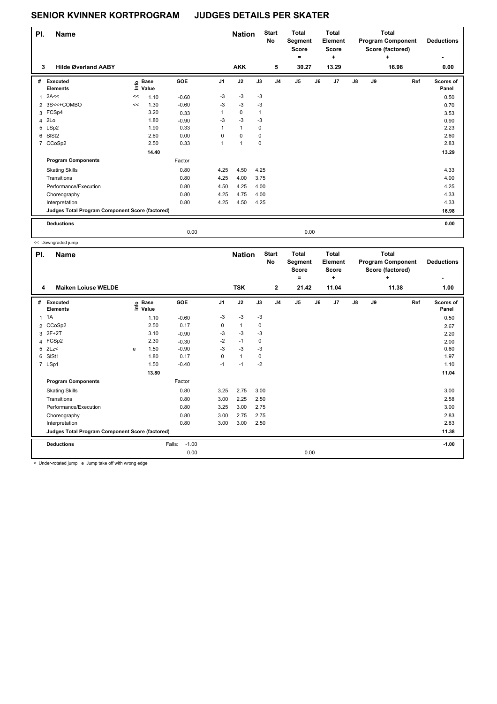## **SENIOR KVINNER KORTPROGRAM JUDGES DETAILS PER SKATER**

| PI.            | <b>Name</b>                                     |    |                      |         |                | <b>Nation</b> |              | <b>Start</b><br>No | <b>Total</b><br>Segment<br><b>Score</b><br>۰ |    | <b>Total</b><br>Element<br><b>Score</b><br>٠ |            | <b>Total</b><br><b>Program Component</b><br>Score (factored) | <b>Deductions</b> |                    |
|----------------|-------------------------------------------------|----|----------------------|---------|----------------|---------------|--------------|--------------------|----------------------------------------------|----|----------------------------------------------|------------|--------------------------------------------------------------|-------------------|--------------------|
| 3              | <b>Hilde Øverland AABY</b>                      |    |                      |         |                | <b>AKK</b>    |              | 5                  | 30.27                                        |    | 13.29                                        |            |                                                              | 16.98             | 0.00               |
| #              | Executed<br><b>Elements</b>                     | ١m | <b>Base</b><br>Value | GOE     | J <sub>1</sub> | J2            | J3           | J <sub>4</sub>     | J <sub>5</sub>                               | J6 | J7                                           | ${\sf J8}$ | J9                                                           | Ref               | Scores of<br>Panel |
| 1              | 2A<<                                            | << | 1.10                 | $-0.60$ | $-3$           | $-3$          | $-3$         |                    |                                              |    |                                              |            |                                                              |                   | 0.50               |
| $\overline{2}$ | 3S<<+COMBO                                      | << | 1.30                 | $-0.60$ | $-3$           | $-3$          | $-3$         |                    |                                              |    |                                              |            |                                                              |                   | 0.70               |
|                | 3 FCSp4                                         |    | 3.20                 | 0.33    |                | $\pmb{0}$     | $\mathbf{1}$ |                    |                                              |    |                                              |            |                                                              |                   | 3.53               |
| 4              | 2Lo                                             |    | 1.80                 | $-0.90$ | -3             | $-3$          | $-3$         |                    |                                              |    |                                              |            |                                                              |                   | 0.90               |
|                | 5 LSp2                                          |    | 1.90                 | 0.33    | 1              | $\mathbf{1}$  | 0            |                    |                                              |    |                                              |            |                                                              |                   | 2.23               |
| 6              | SISt <sub>2</sub>                               |    | 2.60                 | 0.00    | $\Omega$       | 0             | 0            |                    |                                              |    |                                              |            |                                                              |                   | 2.60               |
|                | 7 CCoSp2                                        |    | 2.50                 | 0.33    | 1              | $\mathbf{1}$  | 0            |                    |                                              |    |                                              |            |                                                              |                   | 2.83               |
|                |                                                 |    | 14.40                |         |                |               |              |                    |                                              |    |                                              |            |                                                              |                   | 13.29              |
|                | <b>Program Components</b>                       |    |                      | Factor  |                |               |              |                    |                                              |    |                                              |            |                                                              |                   |                    |
|                | <b>Skating Skills</b>                           |    |                      | 0.80    | 4.25           | 4.50          | 4.25         |                    |                                              |    |                                              |            |                                                              |                   | 4.33               |
|                | Transitions                                     |    |                      | 0.80    | 4.25           | 4.00          | 3.75         |                    |                                              |    |                                              |            |                                                              |                   | 4.00               |
|                | Performance/Execution                           |    |                      | 0.80    | 4.50           | 4.25          | 4.00         |                    |                                              |    |                                              |            |                                                              |                   | 4.25               |
|                | Choreography                                    |    |                      | 0.80    | 4.25           | 4.75          | 4.00         |                    |                                              |    |                                              |            |                                                              |                   | 4.33               |
|                | Interpretation                                  |    |                      | 0.80    | 4.25           | 4.50          | 4.25         |                    |                                              |    |                                              |            |                                                              |                   | 4.33               |
|                | Judges Total Program Component Score (factored) |    |                      |         |                |               |              |                    |                                              |    |                                              |            |                                                              |                   | 16.98              |
|                | <b>Deductions</b>                               |    |                      |         |                |               |              |                    |                                              |    |                                              |            |                                                              |                   | 0.00               |
|                |                                                 |    |                      | 0.00    |                |               |              |                    | 0.00                                         |    |                                              |            |                                                              |                   |                    |

<< Downgraded jump

|              | A Downgraucu jump                               |      |                      |                   |                |               |           |                           |                                         |      |                                         |               |    |                                                              |                    |
|--------------|-------------------------------------------------|------|----------------------|-------------------|----------------|---------------|-----------|---------------------------|-----------------------------------------|------|-----------------------------------------|---------------|----|--------------------------------------------------------------|--------------------|
| PI.          | <b>Name</b>                                     |      |                      |                   |                | <b>Nation</b> |           | <b>Start</b><br><b>No</b> | <b>Total</b><br>Segment<br><b>Score</b> |      | <b>Total</b><br>Element<br><b>Score</b> |               |    | <b>Total</b><br><b>Program Component</b><br>Score (factored) | <b>Deductions</b>  |
|              |                                                 |      |                      |                   |                |               |           |                           | ۰                                       |      | ٠                                       |               |    | ÷                                                            |                    |
| 4            | <b>Maiken Loiuse WELDE</b>                      |      |                      |                   |                | <b>TSK</b>    |           | $\mathbf{2}$              | 21.42                                   |      | 11.04                                   |               |    | 11.38                                                        | 1.00               |
| #            | Executed<br><b>Elements</b>                     | ١nf٥ | <b>Base</b><br>Value | GOE               | J <sub>1</sub> | J2            | J3        | J <sub>4</sub>            | J <sub>5</sub>                          | J6   | J7                                      | $\mathsf{J}8$ | J9 | Ref                                                          | Scores of<br>Panel |
| $\mathbf{1}$ | 1A                                              |      | 1.10                 | $-0.60$           | $-3$           | $-3$          | $-3$      |                           |                                         |      |                                         |               |    |                                                              | 0.50               |
|              | 2 CCoSp2                                        |      | 2.50                 | 0.17              | 0              | $\mathbf{1}$  | 0         |                           |                                         |      |                                         |               |    |                                                              | 2.67               |
| 3            | 2F+2T                                           |      | 3.10                 | $-0.90$           | -3             | -3            | -3        |                           |                                         |      |                                         |               |    |                                                              | 2.20               |
|              | 4 FCSp2                                         |      | 2.30                 | $-0.30$           | $-2$           | $-1$          | $\pmb{0}$ |                           |                                         |      |                                         |               |    |                                                              | 2.00               |
| 5            | 2Lz                                             | e    | 1.50                 | $-0.90$           | $-3$           | $-3$          | -3        |                           |                                         |      |                                         |               |    |                                                              | 0.60               |
| 6            | SISt1                                           |      | 1.80                 | 0.17              | 0              | $\mathbf{1}$  | 0         |                           |                                         |      |                                         |               |    |                                                              | 1.97               |
|              | 7 LSp1                                          |      | 1.50                 | $-0.40$           | $-1$           | $-1$          | $-2$      |                           |                                         |      |                                         |               |    |                                                              | 1.10               |
|              |                                                 |      | 13.80                |                   |                |               |           |                           |                                         |      |                                         |               |    |                                                              | 11.04              |
|              | <b>Program Components</b>                       |      |                      | Factor            |                |               |           |                           |                                         |      |                                         |               |    |                                                              |                    |
|              | <b>Skating Skills</b>                           |      |                      | 0.80              | 3.25           | 2.75          | 3.00      |                           |                                         |      |                                         |               |    |                                                              | 3.00               |
|              | Transitions                                     |      |                      | 0.80              | 3.00           | 2.25          | 2.50      |                           |                                         |      |                                         |               |    |                                                              | 2.58               |
|              | Performance/Execution                           |      |                      | 0.80              | 3.25           | 3.00          | 2.75      |                           |                                         |      |                                         |               |    |                                                              | 3.00               |
|              | Choreography                                    |      |                      | 0.80              | 3.00           | 2.75          | 2.75      |                           |                                         |      |                                         |               |    |                                                              | 2.83               |
|              | Interpretation                                  |      |                      | 0.80              | 3.00           | 3.00          | 2.50      |                           |                                         |      |                                         |               |    |                                                              | 2.83               |
|              | Judges Total Program Component Score (factored) |      |                      |                   |                |               |           |                           |                                         |      |                                         |               |    |                                                              | 11.38              |
|              | <b>Deductions</b>                               |      |                      | $-1.00$<br>Falls: |                |               |           |                           |                                         |      |                                         |               |    |                                                              | $-1.00$            |
|              |                                                 |      |                      | 0.00              |                |               |           |                           |                                         | 0.00 |                                         |               |    |                                                              |                    |

< Under-rotated jump e Jump take off with wrong edge